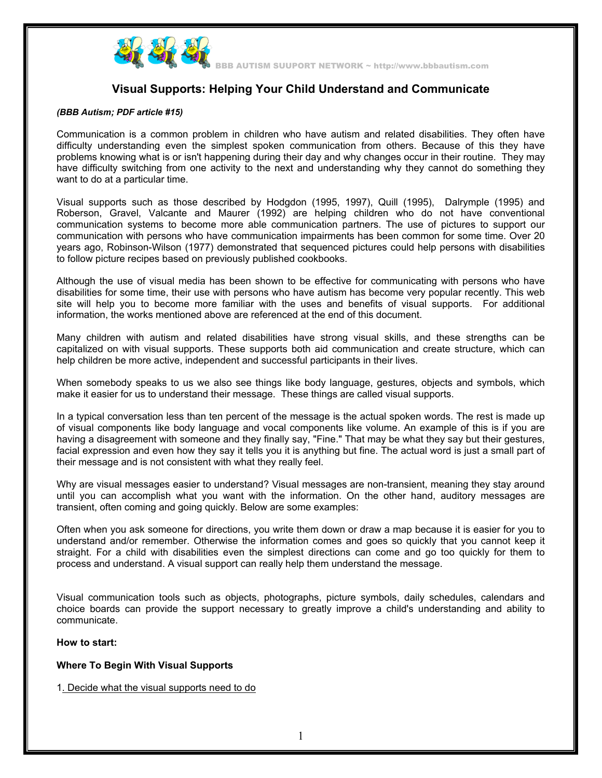

BBB AUTISM SUUPORT NETWORK ~ http://www.bbbautism.com

# **Visual Supports: Helping Your Child Understand and Communicate**

#### *(BBB Autism; PDF article #15)*

Communication is a common problem in children who have autism and related disabilities. They often have difficulty understanding even the simplest spoken communication from others. Because of this they have problems knowing what is or isn't happening during their day and why changes occur in their routine. They may have difficulty switching from one activity to the next and understanding why they cannot do something they want to do at a particular time.

Visual supports such as those described by Hodgdon (1995, 1997), Quill (1995), Dalrymple (1995) and Roberson, Gravel, Valcante and Maurer (1992) are helping children who do not have conventional communication systems to become more able communication partners. The use of pictures to support our communication with persons who have communication impairments has been common for some time. Over 20 years ago, Robinson-Wilson (1977) demonstrated that sequenced pictures could help persons with disabilities to follow picture recipes based on previously published cookbooks.

Although the use of visual media has been shown to be effective for communicating with persons who have disabilities for some time, their use with persons who have autism has become very popular recently. This web site will help you to become more familiar with the uses and benefits of visual supports. For additional information, the works mentioned above are referenced at the end of this document.

Many children with autism and related disabilities have strong visual skills, and these strengths can be capitalized on with visual supports. These supports both aid communication and create structure, which can help children be more active, independent and successful participants in their lives.

When somebody speaks to us we also see things like body language, gestures, objects and symbols, which make it easier for us to understand their message. These things are called visual supports.

In a typical conversation less than ten percent of the message is the actual spoken words. The rest is made up of visual components like body language and vocal components like volume. An example of this is if you are having a disagreement with someone and they finally say, "Fine." That may be what they say but their gestures, facial expression and even how they say it tells you it is anything but fine. The actual word is just a small part of their message and is not consistent with what they really feel.

Why are visual messages easier to understand? Visual messages are non-transient, meaning they stay around until you can accomplish what you want with the information. On the other hand, auditory messages are transient, often coming and going quickly. Below are some examples:

Often when you ask someone for directions, you write them down or draw a map because it is easier for you to understand and/or remember. Otherwise the information comes and goes so quickly that you cannot keep it straight. For a child with disabilities even the simplest directions can come and go too quickly for them to process and understand. A visual support can really help them understand the message.

Visual communication tools such as objects, photographs, picture symbols, daily schedules, calendars and choice boards can provide the support necessary to greatly improve a child's understanding and ability to communicate.

### **How to start:**

### **Where To Begin With Visual Supports**

1. Decide what the visual supports need to do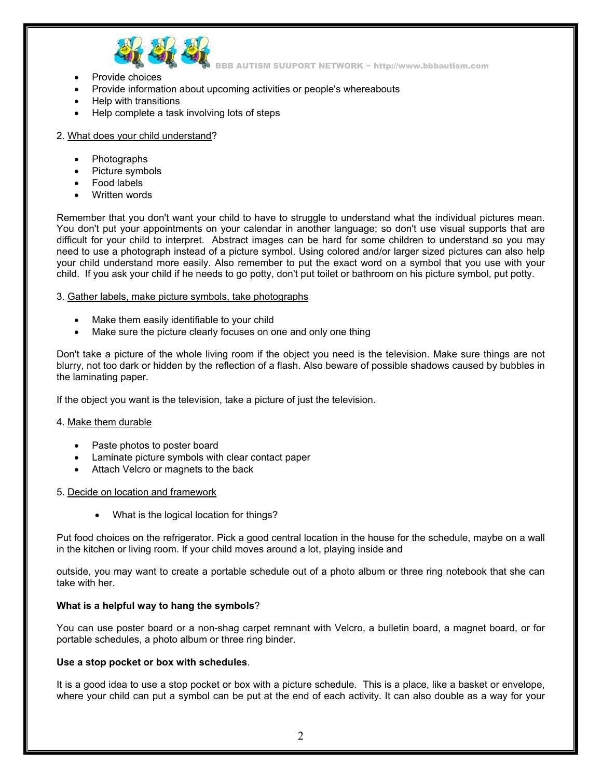

BBB AUTISM SUUPORT NETWORK ~ http://www.bbbautism.com

- Provide choices
- Provide information about upcoming activities or people's whereabouts
- Help with transitions
- Help complete a task involving lots of steps

## 2. What does your child understand?

- Photographs
- Picture symbols
- Food labels
- Written words

Remember that you don't want your child to have to struggle to understand what the individual pictures mean. You don't put your appointments on your calendar in another language; so don't use visual supports that are difficult for your child to interpret. Abstract images can be hard for some children to understand so you may need to use a photograph instead of a picture symbol. Using colored and/or larger sized pictures can also help your child understand more easily. Also remember to put the exact word on a symbol that you use with your child. If you ask your child if he needs to go potty, don't put toilet or bathroom on his picture symbol, put potty.

# 3. Gather labels, make picture symbols, take photographs

- Make them easily identifiable to your child
- Make sure the picture clearly focuses on one and only one thing

Don't take a picture of the whole living room if the object you need is the television. Make sure things are not blurry, not too dark or hidden by the reflection of a flash. Also beware of possible shadows caused by bubbles in the laminating paper.

If the object you want is the television, take a picture of just the television.

### 4. Make them durable

- Paste photos to poster board
- Laminate picture symbols with clear contact paper
- Attach Velcro or magnets to the back

### 5. Decide on location and framework

• What is the logical location for things?

Put food choices on the refrigerator. Pick a good central location in the house for the schedule, maybe on a wall in the kitchen or living room. If your child moves around a lot, playing inside and

outside, you may want to create a portable schedule out of a photo album or three ring notebook that she can take with her.

## **What is a helpful way to hang the symbols**?

You can use poster board or a non-shag carpet remnant with Velcro, a bulletin board, a magnet board, or for portable schedules, a photo album or three ring binder.

### **Use a stop pocket or box with schedules**.

It is a good idea to use a stop pocket or box with a picture schedule. This is a place, like a basket or envelope, where your child can put a symbol can be put at the end of each activity. It can also double as a way for your